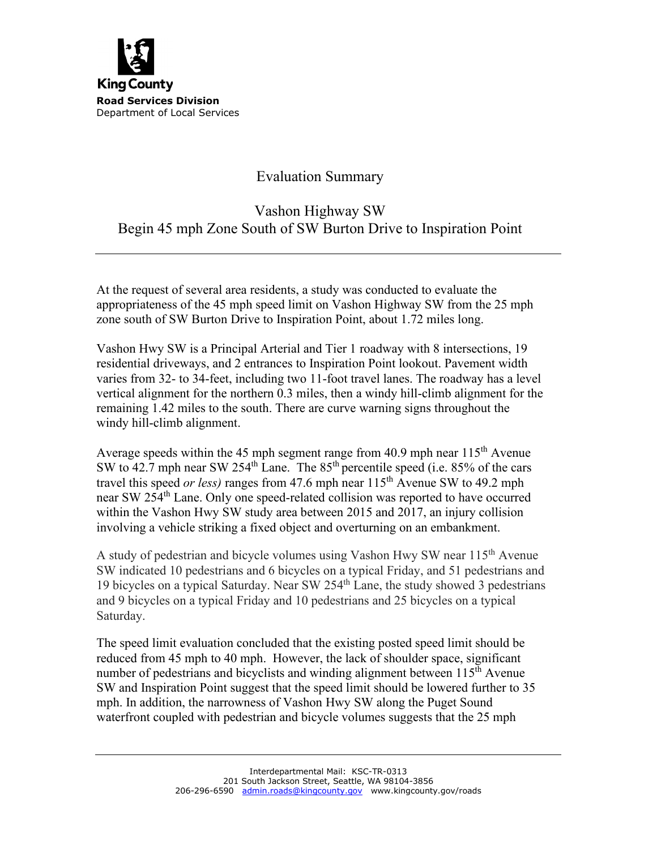

## Evaluation Summary

## Vashon Highway SW Begin 45 mph Zone South of SW Burton Drive to Inspiration Point

At the request of several area residents, a study was conducted to evaluate the appropriateness of the 45 mph speed limit on Vashon Highway SW from the 25 mph zone south of SW Burton Drive to Inspiration Point, about 1.72 miles long.

Vashon Hwy SW is a Principal Arterial and Tier 1 roadway with 8 intersections, 19 residential driveways, and 2 entrances to Inspiration Point lookout. Pavement width varies from 32- to 34-feet, including two 11-foot travel lanes. The roadway has a level vertical alignment for the northern 0.3 miles, then a windy hill-climb alignment for the remaining 1.42 miles to the south. There are curve warning signs throughout the windy hill-climb alignment.

Average speeds within the 45 mph segment range from 40.9 mph near  $115<sup>th</sup>$  Avenue SW to  $42.7$  mph near SW  $254<sup>th</sup>$  Lane. The  $85<sup>th</sup>$  percentile speed (i.e.  $85%$  of the cars travel this speed *or less)* ranges from 47.6 mph near 115th Avenue SW to 49.2 mph near SW 254th Lane. Only one speed-related collision was reported to have occurred within the Vashon Hwy SW study area between 2015 and 2017, an injury collision involving a vehicle striking a fixed object and overturning on an embankment.

A study of pedestrian and bicycle volumes using Vashon Hwy SW near 115<sup>th</sup> Avenue SW indicated 10 pedestrians and 6 bicycles on a typical Friday, and 51 pedestrians and 19 bicycles on a typical Saturday. Near SW 254th Lane, the study showed 3 pedestrians and 9 bicycles on a typical Friday and 10 pedestrians and 25 bicycles on a typical Saturday.

The speed limit evaluation concluded that the existing posted speed limit should be reduced from 45 mph to 40 mph. However, the lack of shoulder space, significant number of pedestrians and bicyclists and winding alignment between  $115<sup>th</sup>$  Avenue SW and Inspiration Point suggest that the speed limit should be lowered further to 35 mph. In addition, the narrowness of Vashon Hwy SW along the Puget Sound waterfront coupled with pedestrian and bicycle volumes suggests that the 25 mph